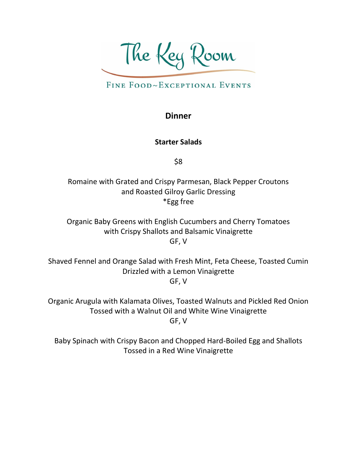The Key Room

# FINE FOOD~EXCEPTIONAL EVENTS

### **Dinner**

#### **Starter Salads**

\$8

Romaine with Grated and Crispy Parmesan, Black Pepper Croutons and Roasted Gilroy Garlic Dressing \*Egg free

Organic Baby Greens with English Cucumbers and Cherry Tomatoes with Crispy Shallots and Balsamic Vinaigrette GF, V

Shaved Fennel and Orange Salad with Fresh Mint, Feta Cheese, Toasted Cumin Drizzled with a Lemon Vinaigrette GF, V

Organic Arugula with Kalamata Olives, Toasted Walnuts and Pickled Red Onion Tossed with a Walnut Oil and White Wine Vinaigrette GF, V

Baby Spinach with Crispy Bacon and Chopped Hard-Boiled Egg and Shallots Tossed in a Red Wine Vinaigrette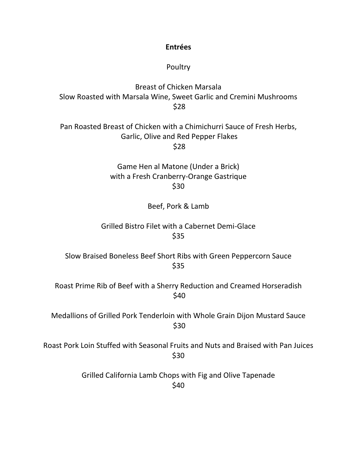**Entrées** 

#### Poultry

Breast of Chicken Marsala Slow Roasted with Marsala Wine, Sweet Garlic and Cremini Mushrooms \$28

Pan Roasted Breast of Chicken with a Chimichurri Sauce of Fresh Herbs, Garlic, Olive and Red Pepper Flakes \$28

> Game Hen al Matone (Under a Brick) with a Fresh Cranberry-Orange Gastrique \$30

> > Beef, Pork & Lamb

Grilled Bistro Filet with a Cabernet Demi-Glace \$35

Slow Braised Boneless Beef Short Ribs with Green Peppercorn Sauce \$35

Roast Prime Rib of Beef with a Sherry Reduction and Creamed Horseradish \$40

Medallions of Grilled Pork Tenderloin with Whole Grain Dijon Mustard Sauce \$30

Roast Pork Loin Stuffed with Seasonal Fruits and Nuts and Braised with Pan Juices \$30

> Grilled California Lamb Chops with Fig and Olive Tapenade \$40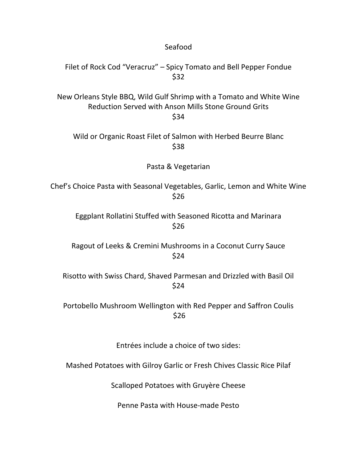| Seafood                                                                                                                              |
|--------------------------------------------------------------------------------------------------------------------------------------|
| Filet of Rock Cod "Veracruz" – Spicy Tomato and Bell Pepper Fondue<br>\$32                                                           |
| New Orleans Style BBQ, Wild Gulf Shrimp with a Tomato and White Wine<br>Reduction Served with Anson Mills Stone Ground Grits<br>\$34 |
| Wild or Organic Roast Filet of Salmon with Herbed Beurre Blanc<br>\$38                                                               |
| Pasta & Vegetarian                                                                                                                   |
| Chef's Choice Pasta with Seasonal Vegetables, Garlic, Lemon and White Wine<br>\$26                                                   |
| Eggplant Rollatini Stuffed with Seasoned Ricotta and Marinara<br>\$26                                                                |
| Ragout of Leeks & Cremini Mushrooms in a Coconut Curry Sauce<br>\$24                                                                 |
| Risotto with Swiss Chard, Shaved Parmesan and Drizzled with Basil Oil<br>\$24                                                        |
| Portobello Mushroom Wellington with Red Pepper and Saffron Coulis<br>\$26                                                            |
| Entrées include a choice of two sides:                                                                                               |
| Mashed Potatoes with Gilroy Garlic or Fresh Chives Classic Rice Pilaf                                                                |
| Scalloped Potatoes with Gruyère Cheese                                                                                               |

Penne Pasta with House-made Pesto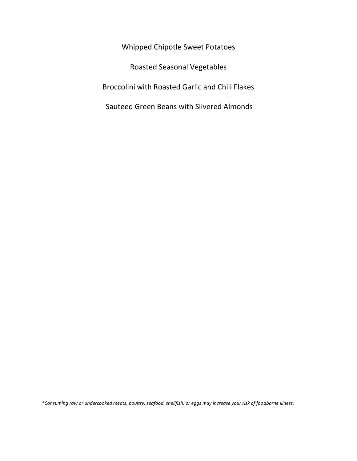Whipped Chipotle Sweet Potatoes Roasted Seasonal Vegetables Broccolini with Roasted Garlic and Chili Flakes Sauteed Green Beans with Slivered Almonds

*\*Consuming raw or undercooked meats, poultry, seafood, shellfish, or eggs may increase your risk of foodborne illness.*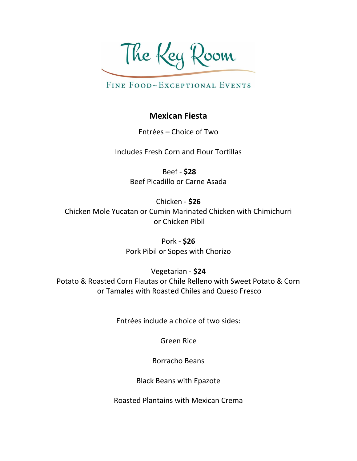The Key Room

FINE FOOD~EXCEPTIONAL EVENTS

## **Mexican Fiesta**

Entrées – Choice of Two

Includes Fresh Corn and Flour Tortillas

Beef - **\$28** Beef Picadillo or Carne Asada

Chicken - **\$26** Chicken Mole Yucatan or Cumin Marinated Chicken with Chimichurri or Chicken Pibil

> Pork - **\$26** Pork Pibil or Sopes with Chorizo

> > Vegetarian - **\$24**

Potato & Roasted Corn Flautas or Chile Relleno with Sweet Potato & Corn or Tamales with Roasted Chiles and Queso Fresco

Entrées include a choice of two sides:

Green Rice

Borracho Beans

Black Beans with Epazote

Roasted Plantains with Mexican Crema